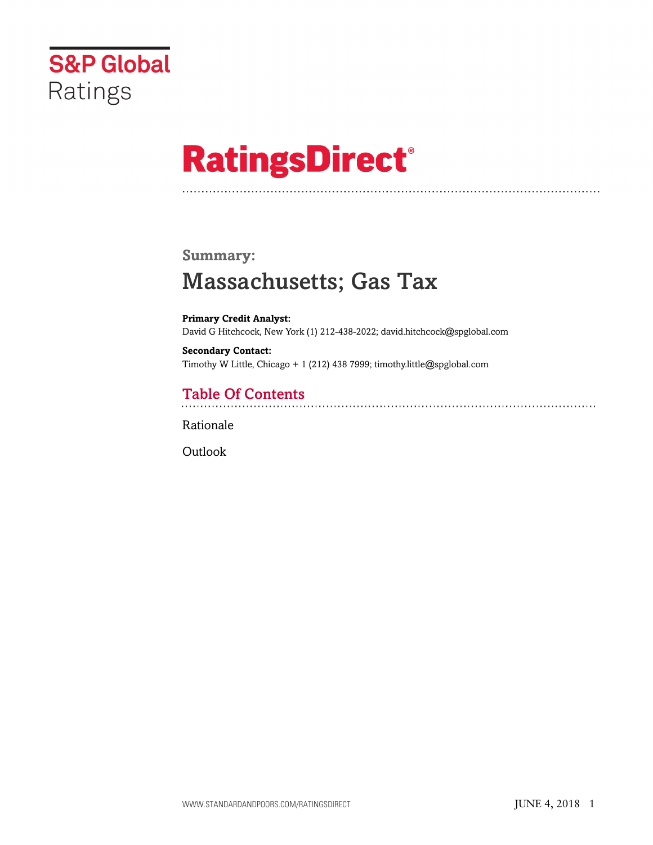

# **RatingsDirect®**

#### **Summary:**

# Massachusetts; Gas Tax

**Primary Credit Analyst:** David G Hitchcock, New York (1) 212-438-2022; david.hitchcock@spglobal.com

**Secondary Contact:** Timothy W Little, Chicago + 1 (212) 438 7999; timothy.little@spglobal.com

## Table Of Contents

[Rationale](#page-1-0)

**[Outlook](#page-3-0)**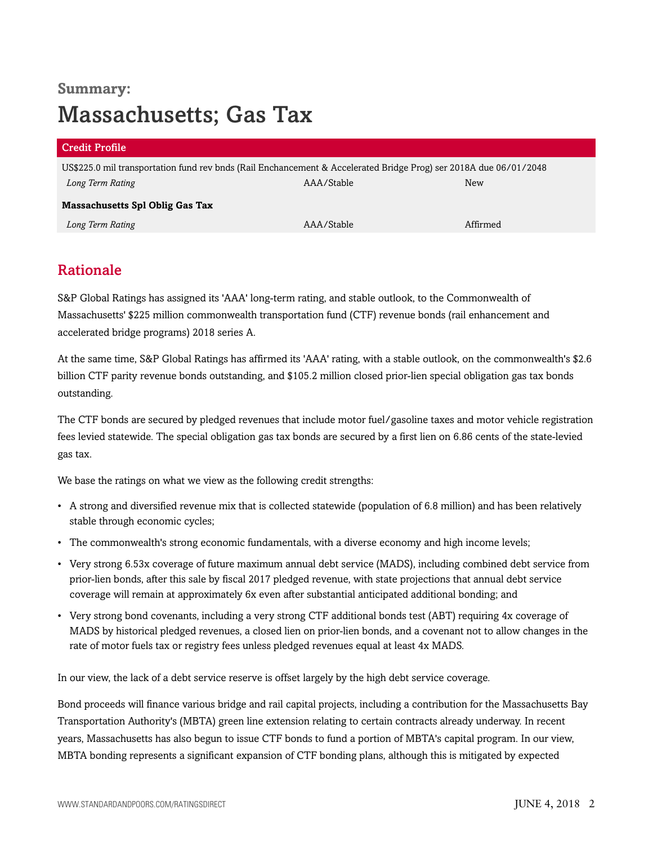# **Summary:** Massachusetts; Gas Tax

| <b>Credit Profile</b>                                                                                             |            |          |  |  |
|-------------------------------------------------------------------------------------------------------------------|------------|----------|--|--|
| US\$225.0 mil transportation fund rev bnds (Rail Enchancement & Accelerated Bridge Prog) ser 2018A due 06/01/2048 |            |          |  |  |
| Long Term Rating                                                                                                  | AAA/Stable | New      |  |  |
| Massachusetts Spl Oblig Gas Tax                                                                                   |            |          |  |  |
| Long Term Rating                                                                                                  | AAA/Stable | Affirmed |  |  |

## <span id="page-1-0"></span>Rationale

S&P Global Ratings has assigned its 'AAA' long-term rating, and stable outlook, to the Commonwealth of Massachusetts' \$225 million commonwealth transportation fund (CTF) revenue bonds (rail enhancement and accelerated bridge programs) 2018 series A.

At the same time, S&P Global Ratings has affirmed its 'AAA' rating, with a stable outlook, on the commonwealth's \$2.6 billion CTF parity revenue bonds outstanding, and \$105.2 million closed prior-lien special obligation gas tax bonds outstanding.

The CTF bonds are secured by pledged revenues that include motor fuel/gasoline taxes and motor vehicle registration fees levied statewide. The special obligation gas tax bonds are secured by a first lien on 6.86 cents of the state-levied gas tax.

We base the ratings on what we view as the following credit strengths:

- A strong and diversified revenue mix that is collected statewide (population of 6.8 million) and has been relatively stable through economic cycles;
- The commonwealth's strong economic fundamentals, with a diverse economy and high income levels;
- Very strong 6.53x coverage of future maximum annual debt service (MADS), including combined debt service from prior-lien bonds, after this sale by fiscal 2017 pledged revenue, with state projections that annual debt service coverage will remain at approximately 6x even after substantial anticipated additional bonding; and
- Very strong bond covenants, including a very strong CTF additional bonds test (ABT) requiring 4x coverage of MADS by historical pledged revenues, a closed lien on prior-lien bonds, and a covenant not to allow changes in the rate of motor fuels tax or registry fees unless pledged revenues equal at least 4x MADS.

In our view, the lack of a debt service reserve is offset largely by the high debt service coverage.

Bond proceeds will finance various bridge and rail capital projects, including a contribution for the Massachusetts Bay Transportation Authority's (MBTA) green line extension relating to certain contracts already underway. In recent years, Massachusetts has also begun to issue CTF bonds to fund a portion of MBTA's capital program. In our view, MBTA bonding represents a significant expansion of CTF bonding plans, although this is mitigated by expected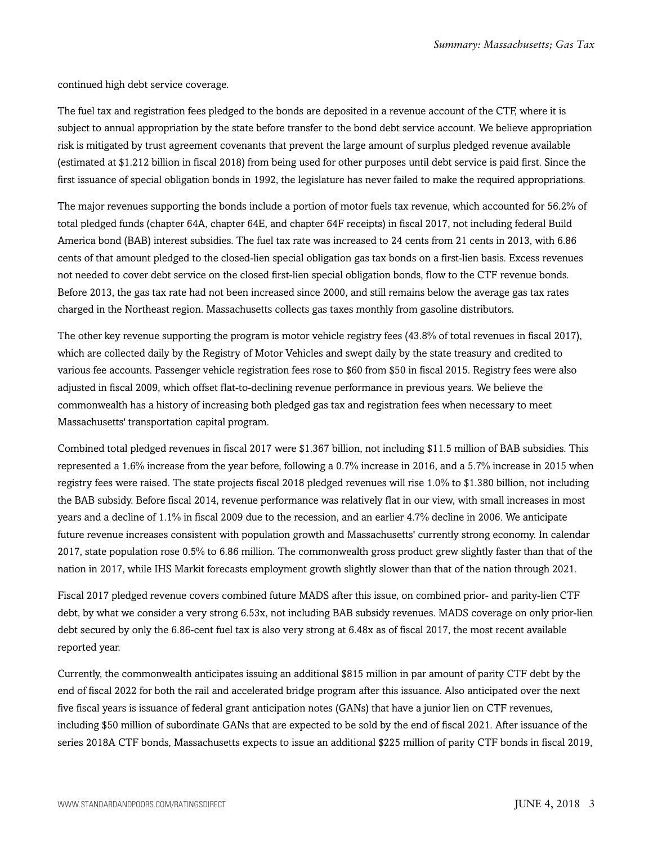continued high debt service coverage.

The fuel tax and registration fees pledged to the bonds are deposited in a revenue account of the CTF, where it is subject to annual appropriation by the state before transfer to the bond debt service account. We believe appropriation risk is mitigated by trust agreement covenants that prevent the large amount of surplus pledged revenue available (estimated at \$1.212 billion in fiscal 2018) from being used for other purposes until debt service is paid first. Since the first issuance of special obligation bonds in 1992, the legislature has never failed to make the required appropriations.

The major revenues supporting the bonds include a portion of motor fuels tax revenue, which accounted for 56.2% of total pledged funds (chapter 64A, chapter 64E, and chapter 64F receipts) in fiscal 2017, not including federal Build America bond (BAB) interest subsidies. The fuel tax rate was increased to 24 cents from 21 cents in 2013, with 6.86 cents of that amount pledged to the closed-lien special obligation gas tax bonds on a first-lien basis. Excess revenues not needed to cover debt service on the closed first-lien special obligation bonds, flow to the CTF revenue bonds. Before 2013, the gas tax rate had not been increased since 2000, and still remains below the average gas tax rates charged in the Northeast region. Massachusetts collects gas taxes monthly from gasoline distributors.

The other key revenue supporting the program is motor vehicle registry fees (43.8% of total revenues in fiscal 2017), which are collected daily by the Registry of Motor Vehicles and swept daily by the state treasury and credited to various fee accounts. Passenger vehicle registration fees rose to \$60 from \$50 in fiscal 2015. Registry fees were also adjusted in fiscal 2009, which offset flat-to-declining revenue performance in previous years. We believe the commonwealth has a history of increasing both pledged gas tax and registration fees when necessary to meet Massachusetts' transportation capital program.

Combined total pledged revenues in fiscal 2017 were \$1.367 billion, not including \$11.5 million of BAB subsidies. This represented a 1.6% increase from the year before, following a 0.7% increase in 2016, and a 5.7% increase in 2015 when registry fees were raised. The state projects fiscal 2018 pledged revenues will rise 1.0% to \$1.380 billion, not including the BAB subsidy. Before fiscal 2014, revenue performance was relatively flat in our view, with small increases in most years and a decline of 1.1% in fiscal 2009 due to the recession, and an earlier 4.7% decline in 2006. We anticipate future revenue increases consistent with population growth and Massachusetts' currently strong economy. In calendar 2017, state population rose 0.5% to 6.86 million. The commonwealth gross product grew slightly faster than that of the nation in 2017, while IHS Markit forecasts employment growth slightly slower than that of the nation through 2021.

Fiscal 2017 pledged revenue covers combined future MADS after this issue, on combined prior- and parity-lien CTF debt, by what we consider a very strong 6.53x, not including BAB subsidy revenues. MADS coverage on only prior-lien debt secured by only the 6.86-cent fuel tax is also very strong at 6.48x as of fiscal 2017, the most recent available reported year.

Currently, the commonwealth anticipates issuing an additional \$815 million in par amount of parity CTF debt by the end of fiscal 2022 for both the rail and accelerated bridge program after this issuance. Also anticipated over the next five fiscal years is issuance of federal grant anticipation notes (GANs) that have a junior lien on CTF revenues, including \$50 million of subordinate GANs that are expected to be sold by the end of fiscal 2021. After issuance of the series 2018A CTF bonds, Massachusetts expects to issue an additional \$225 million of parity CTF bonds in fiscal 2019,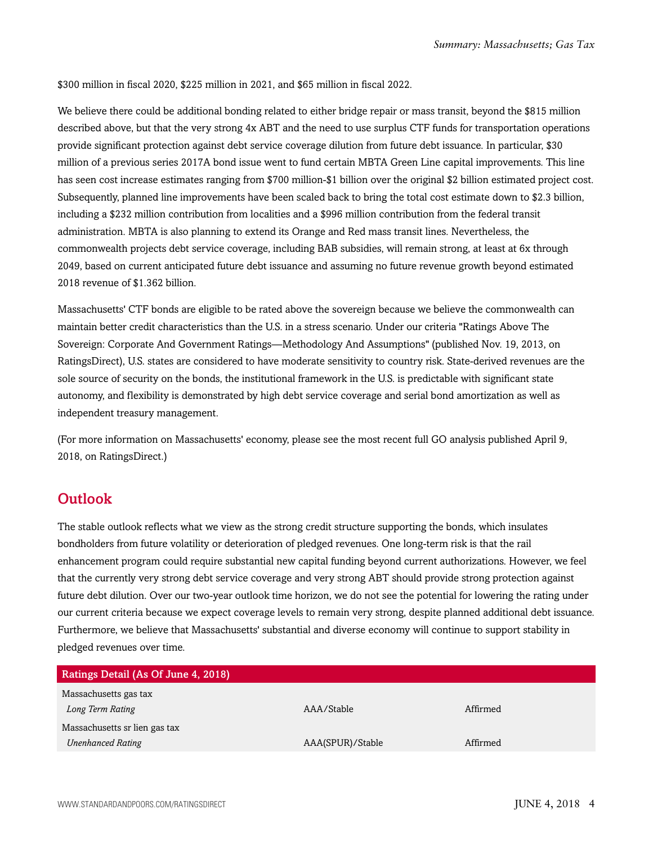\$300 million in fiscal 2020, \$225 million in 2021, and \$65 million in fiscal 2022.

We believe there could be additional bonding related to either bridge repair or mass transit, beyond the \$815 million described above, but that the very strong 4x ABT and the need to use surplus CTF funds for transportation operations provide significant protection against debt service coverage dilution from future debt issuance. In particular, \$30 million of a previous series 2017A bond issue went to fund certain MBTA Green Line capital improvements. This line has seen cost increase estimates ranging from \$700 million-\$1 billion over the original \$2 billion estimated project cost. Subsequently, planned line improvements have been scaled back to bring the total cost estimate down to \$2.3 billion, including a \$232 million contribution from localities and a \$996 million contribution from the federal transit administration. MBTA is also planning to extend its Orange and Red mass transit lines. Nevertheless, the commonwealth projects debt service coverage, including BAB subsidies, will remain strong, at least at 6x through 2049, based on current anticipated future debt issuance and assuming no future revenue growth beyond estimated 2018 revenue of \$1.362 billion.

Massachusetts' CTF bonds are eligible to be rated above the sovereign because we believe the commonwealth can maintain better credit characteristics than the U.S. in a stress scenario. Under our criteria "Ratings Above The Sovereign: Corporate And Government Ratings—Methodology And Assumptions" (published Nov. 19, 2013, on RatingsDirect), U.S. states are considered to have moderate sensitivity to country risk. State-derived revenues are the sole source of security on the bonds, the institutional framework in the U.S. is predictable with significant state autonomy, and flexibility is demonstrated by high debt service coverage and serial bond amortization as well as independent treasury management.

(For more information on Massachusetts' economy, please see the most recent full GO analysis published April 9, 2018, on RatingsDirect.)

## <span id="page-3-0"></span>**Outlook**

The stable outlook reflects what we view as the strong credit structure supporting the bonds, which insulates bondholders from future volatility or deterioration of pledged revenues. One long-term risk is that the rail enhancement program could require substantial new capital funding beyond current authorizations. However, we feel that the currently very strong debt service coverage and very strong ABT should provide strong protection against future debt dilution. Over our two-year outlook time horizon, we do not see the potential for lowering the rating under our current criteria because we expect coverage levels to remain very strong, despite planned additional debt issuance. Furthermore, we believe that Massachusetts' substantial and diverse economy will continue to support stability in pledged revenues over time.

| <b>Ratings Detail (As Of June 4, 2018)</b> |                  |          |
|--------------------------------------------|------------------|----------|
| Massachusetts gas tax                      |                  |          |
| Long Term Rating                           | AAA/Stable       | Affirmed |
| Massachusetts sr lien gas tax              |                  |          |
| <b>Unenhanced Rating</b>                   | AAA(SPUR)/Stable | Affirmed |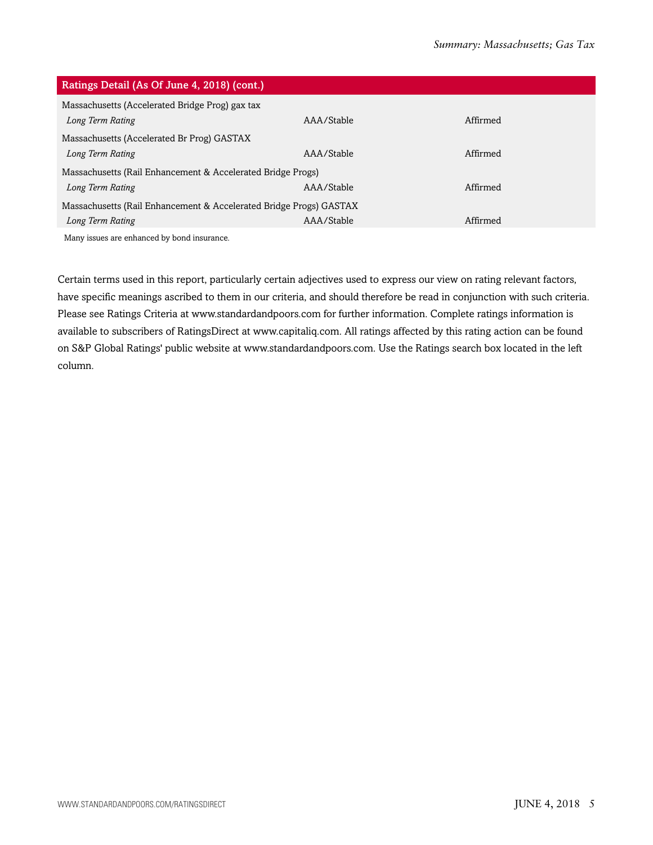| Ratings Detail (As Of June 4, 2018) (cont.)                        |            |          |  |  |
|--------------------------------------------------------------------|------------|----------|--|--|
| Massachusetts (Accelerated Bridge Prog) gax tax                    |            |          |  |  |
| Long Term Rating                                                   | AAA/Stable | Affirmed |  |  |
| Massachusetts (Accelerated Br Prog) GASTAX                         |            |          |  |  |
| Long Term Rating                                                   | AAA/Stable | Affirmed |  |  |
| Massachusetts (Rail Enhancement & Accelerated Bridge Progs)        |            |          |  |  |
| Long Term Rating                                                   | AAA/Stable | Affirmed |  |  |
| Massachusetts (Rail Enhancement & Accelerated Bridge Progs) GASTAX |            |          |  |  |
| Long Term Rating                                                   | AAA/Stable | Affirmed |  |  |
| Many issues are enhanced by bond insurance.                        |            |          |  |  |

Certain terms used in this report, particularly certain adjectives used to express our view on rating relevant factors, have specific meanings ascribed to them in our criteria, and should therefore be read in conjunction with such criteria. Please see Ratings Criteria at www.standardandpoors.com for further information. Complete ratings information is available to subscribers of RatingsDirect at www.capitaliq.com. All ratings affected by this rating action can be found on S&P Global Ratings' public website at www.standardandpoors.com. Use the Ratings search box located in the left column.